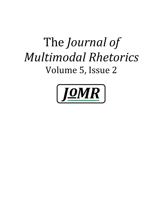# The *Journal of Multimodal Rhetorics* Volume 5, Issue 2

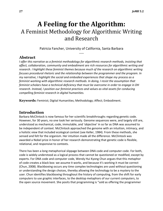# **A Feeling for the Algorithm:** A Feminist Methodology for Algorithmic Writing and Research

Patricia Fancher, University of California, Santa Barbara -----

#### **Abstract**

*I offer this narrative as a feminist methodology for algorithmic research methods, insisting that affect, collaboration, community and embodiment are rich resources for algorithmic writing and research. I highlight these feminist themes because much of the research on algorithmic writing focuses procedural rhetoric and the relationship between the programmer and the program. In my narrative, I highlight the social and embodied experiences that shape my process as a feminist working with algorithmic research methods. In doing, I resist the assumption that feminist scholars have a technical deficiency that must be overcome in order to engage in DH research. Instead, I position our feminist practices and values as vital assets for conducing compelling feminist research in digital humanities.* 

**Keywords:** Feminist; Digital Humanities; Methodology; Affect; Embodiment.

## **Introduction**

Barbara McClintock is now famous for her scientific breakthroughs regarding genetic code. However, for 30 years, no one took her seriously. Genome sequences were, and largely still are, understood as mechanical, code, immutable, and 'objective' in so far as DNA was assumed to be independent of context. McClintock approached the genome with an intuition, intimacy, and a holistic view that included ecological context (see Keller, 1984). From these methods, she sensed and felt for the organism. Her intuition made all the difference. McClintock was awarded a Nobel prize in honor of her research demonstrating that genetic code is flexible, relational, and responsive to contexts.

There has been a long metaphorical slippage between DNA code and computer code. For both, code is widely understood as a logical process that cannot be questioned or modified, except by experts. For DNA code and computer code, Wendy Hui Kyong Chun argues that this metaphor of code creates a black box: we assume it works, and because it's working it must be correct (Chun, 2008). Blackboxing occurs any time complex technologies are used without questioning or understanding the design choices, thereby allowing the technology to be a mystery to the user. Chun identifies blackboxing throughout the history of computing, from the shift for early computers to use graphic interfaces, to the desktop metaphors of our current computers, to the open source movement. She posits that programming is "sold as offering the programmer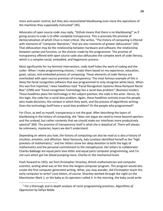more and easier control, but they also necessitated blackboxing even more the operations of the machines they supposedly instructed" (45).

Advocates of open source code may reply, "Github means that there is no blackboxing!" as if giving access to code is to offer complete transparency. This is precisely the promise of democratization of which Chun is most critical. She writes, "The history of computing is littered with moments of "computer liberation," that are also moments of greater obfuscation" (45). That obfuscation may be the relationship between hardware and software, the relationship between syntax and function, or the choices made by the programmer. The promise of transparency offered with open source code also obfuscates the complex work of code literacy, which is a complex social, embodied, and hegemonic process.

Most significantly for my feminist intervention, code itself hides the work of coding and the coder. When I make programming choices, I make them based on my experience, education, goals, values, and embodied process of composing. These elements of code literacy are overlooked with open source promises of transparency. The most famous example of this is likely the facial recognition software that was programmed to only recognize white faces. When this was first reported,<sup>1</sup> news headlines read "Facial Recognition Systems Show Rampant Racial Bias" (CNN) and "Facial-recognition Technology has a racial-bias problem" (Business Insider). These headlines place the technology in the subject position; the code is the actor. Hence, by this logic, the code has a racial-bias problem. Again, these headlines entirely erase the people who made decisions, the context in which they work, and the process of algorithmic writing. Does the technology itself have a racial-bias problem? Or the people who programmed?

For Chun, as well as myself, transparency is not the goal. After describing the layers of blackboxing in the history of computing, she "does not argue we need to move beyond specters and the undead, but rather contends that we should make our interfaces more productively spectral" (60). The promise of transparency itself is what she is skeptical of. There will always be unknowns, mysteries, layers we don't understand.

Depending on where you look, the history of computing can also be read as is also a history of intuition, emotion, and affection. Most famously, Ada Lovelace identified herself as the "high priestess of mathematics," and her letters show her deep devotion to both the logic of mathematics and the personal commitment to the metaphysical. Her letters to collaborator Charles Babbage are equal parts love letter and equal parts computer programming, and I'm not sure which got her blood pumping more, Charles or the mechanical brain.

Flash forward to 1953, we find Christopher Strachey, British mathematician and computer scientist, writing what was at the time the longest computer program. This program would also create the first computer generated writing. What, you may wonder, did Christopher teach this early computer to write? Love letters, of course. Strachey worked through the night on the Manchester Mark 1, or the baby as its operators called it. In the morning, the baby could write

<sup>1</sup> For a thorough and in-depth analysis of racist programming practices, *Algorithms of Oppression* by Safiya Noble.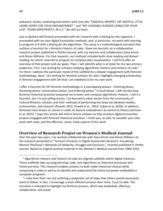awkward, clunky, endearing love letters with lines like "FANCIFUL MOPPET, MY WISTFUL LITTLE LIKING HOPES FOR YOUR ENCHANTMENT." and "MY LOVEABLE HUNGER LONGS FOR YOUR LUST. YOURS IMPATIENTLY, M.U.C." Be still my heart.

Just as Barbara McClintock proceeded with her research with a feeling for the organism, I proceeded with my own digital humanities methods, and, in particular, my work with learning to program in R with a *feeling for the algorithms*. This essay is a methodological narrative that outlines a heuristic for a feminist rhetoric of code. I base my heuristic on a collaborative research project published in *Peitho Journal*, with my mentors and collaborators Gesa Kirsch and Alison Williams. For that research, our methods included both close reading and distant reading, for which I learned to program to compose data visualizations. I will first offer an overview of that project and our goals. Then, I will identify what is at stake for my two primary audiences. First, I am writing for scholars studying algorithmic rhetoric and rhetoric of code.<sup>2</sup> For them I address the particular needs of this subfield for a deeper engagement with feminist methodology. Next, I am writing for feminist scholars for who I highlight emerging scholarship in feminist engagement with DH that I am indebted to for my own work.

I offer a heuristic for DH feminist methodology in 4 overlapping phases-- listening phase, dreaming phase, conversation phase, and tinkering phase.<sup>3</sup> In each phase, I will narrate how feminist rhetorical practices prepared me to learn and compose algorithmic rhetoric. I call it a heuristic, but I'm just telling stories. I've learned to value stories from the community of Cultural Rhetoric scholars and their methods of performing the deep ties between bodies, communities, and research (Powell, 2012; Powell et al., 2014; Cobos et al, 2018). In addition, feminists have drawn on stories in order to feature embodiment as central to theory (Johnson et al, 2015). I hope this article will inform future scholars as they envision digital humanities projects engaged with feminist rhetorical practices. I invite you, as well, to consider your own work with code, and the affective, social, lively aspects of the work.

#### **Overview of Research Project on Women's Medical Journal**

Over the past two years, I've worked collaboratively with Gesa Kirsch and Alison Williams on the research presented in "Feminist Practices in Digital Humanities Research: Visualizing Women Physician's Networks of Solidarity, Struggle and Exclusion," recently published in *Peitho Journal*. Based on original archival material in the *Woman's Medical Journal* from 1900-1919,

<sup>&</sup>lt;sup>2</sup> Algorithmic rhetoric and rhetoric of code are aligned subfields within digital rhetorics. These subfields take up programming, code, and algorithms as rhetorical processes and rhetorical texts. This research enables scholars to both make rhetorical choices while composing in code as well as to identify and understand the rhetorical power embedded in computer programs.

 $3$  I note here that I am not outlining a pragmatic set of steps that others would necessarily want to follow. In fact, I encourage a more efficient process than mine, if you're able. The narrative is intended to highlight my feminist process, which was embodied, affective, collaborative, and social.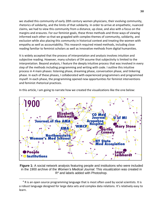we studied this community of early 20th century women physicians, their evolving community, rhetorics of solidarity, and the limits of that solidarity. In order to arrive at empathetic, nuanced claims, we had to view this community from a distance, up close, and also with a focus on the margins and erasures. For our feminist goals, these three methods and three ways of viewing informed each other so that we grappled with complex themes of community, solidarity, and exclusion while also placing this community in historical context and treating the women with empathy as well as accountability. This research required mixed methods, including close reading familiar to feminist scholars as well as innovative methods from digital humanities.

It is widely accepted that the process of interpretation and analysis involves intuition and subjective reading. However, many scholars of DH assume that subjectivity is limited to the interpretation. Beyond analysis, I feature the deeply intuitive process that was involved in every step of the methods including programming and writing with code. I outline this intuitive process in 4 main phases: listening phase, dreaming phase, conversation phase, and tinkering phase. In each of these phases, I collaborated with experienced programmers and programmed myself. In each phase, the programming opened new opportunities for feminist interventions and feminist rhetorical practices.

In this article, I am going to narrate how we created the visualizations like the one below:



**Figure 1:** A social network analysis featuring people and institutions who were included in the 1900 archive of the *Women's Medical Journal*. This visualization was created in  $R<sup>4</sup>$  and labels added with Photoshop.

<sup>&</sup>lt;sup>4</sup> R is an open source programming language that is most often used by social scientists. It is a robust language designed for large data sets and complex data relations. It's relatively easy to learn.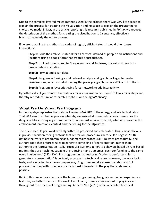Due to the complex, layered mixed methods used in the project, there was very little space to explain the process for creating this visualization and no space to explain the programming choices we made. In fact, in the article reporting this research published in *Peitho*, we reduced the description of the method for creating the visualization to 1 sentence, effectively blackboxing nearly the entire process.

If I were to outline the method in a series of logical, efficient steps, I would offer these instructions:

**Step 1:** Code the archival material for all "actors" defined as people and institutions and locations using a google form that creates a spreadsheet.

**Step 2:** Upload spreadsheet to Google graphs and Tableaux, use network graph to create beta visualization.

**Step 3: Format and clean data.** 

**Step 4:** Program in R using social network analysis and igraph packages to create visualizations, which included loading the packages igraph, networkD3, and htmltools.

**Step 5:** Program in JavaScript using force-network to add interactivity.

Hypothetically, if you wanted to create a similar visualization, you could follow similar steps and thereby reproduce similar research. Emphasis on the *hypothetically.* 

#### **What We Do When We Program**

In the step-by-step instructions above I've *excluded* 90% of the energy and intellectual labor. That 90% was the intuitive process whereby we arrived at these instructions. Herein lies the danger of black boxing algorithmic work for a feminist scholar: precisely what is removed is the embodiment, emotions, context and the feeling for the algorithm.

The rule-based, logical work with algorithms is preserved and celebrated. This is most obvious in previous work on coding rhetoric that centers on procedural rhetoric. Ian Bogost (2008) defines the work of programming as fundamentally procedural: "To write procedurally, one authors code that enforces rules to generate some kind of representation, rather than authoring the representation itself. Procedural systems generate behaviors based on rule-based models; they are machines capable of producing many outcomes, each conforming to the same overall guidelines" (122). Defining programming as authoring "code that enforces rules to generate a representation" is certainly accurate in a technical sense. However, the work looks, feels, and is enacted in a more complex way. Bogost essentially erases the labor and full process of writing with code because he is most interested in the play that code makes possible.

Behind this procedural rhetoric is the human programming, her goals, embodied experiences, histories, and attachments to the work. I would add, there's a fair amount of play involved throughout the process of programming. Annette Vee (2013) offers a detailed historical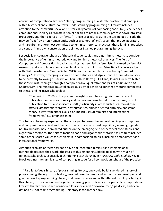account of computational literacy, $5$  placing programming as a literate practice that emerges within historical and cultural contexts. Understanding programming as literacy includes attention to the "powerful social and historical dynamics of composing code" (46). Vee defines computational literacy as "constellation of abilities to break a complex process down into small procedures and then express—or "write"—those procedures using the technology of code that may be "read" by a non-human entity such as a computer" (47). Given that my collaborators and I are first-and-foremost committed to feminist rhetorical practices, these feminist practices are central in my own constellation of abilities as I gained programming literacy.

I especially encourage scholars of rhetorical code studies and algorithmic rhetoric to consider the importance of feminist methodology and feminist rhetorical practices. The field of Computers and Composition broadly speaking has been led by feminists, informed by feminist research, and is a collaboration among feminist to the point that Estee Beck in conversation with Gail Hawisher and Cynthia Selfe (2013) discuss the field broadly as having "feminist leanings." However, emerging research on code studies and algorithmic rhetorics do not seem to be currently following this tradition. Lori BethDe Hertogh, Liz Lane, Jessica Ouellette tested these "feminist leanings" through a comprehensive, qualitative analysis of *Computers and Composition*. Their findings must taken seriously by all scholar algorithmic rhetoric committed to ethical and inclusive scholarship:

"The period of 2009 to the present brought in an interesting mix of more recent publications on intersectionality and technofeminism, but at the same time, recent publication trends also indicate a shift (particularly in areas such as *rhetorical code studies*, *algorithmic rhetorics*, posthumanism, object-oriented ontology, and game theory) away from either explicit or implicit uses of feminist and intersectional frameworks." (10 emphasis mine)

This has also been my experience: there is a gap between the feminist leanings of computers and composition as a field and the particularly process-focused, a-political, seemingly gender neutral but also male-dominated authors in the emerging field of rhetorical code studies and algorithmic rhetorics. The shift to focus on code and algorithmic rhetoric has not fully included some of the shared values for scholarship in composition studies, including embodiment and intersectional frameworks.

Although scholars of rhetorical code have not integrated feminist and intersectional methodologies into their work, the goals of this emerging subfield do align with much of feminist scholarship, especially technofeminist scholarship. In *Rhetorical Code Studies,* Kevin Brock outlines the significance of composing in code for all composition scholars "the practice

<sup>&</sup>lt;sup>5</sup> Parallel to Vee's history of programming literacy, one could build a gendered history of programming literacy. In this history, we could see that men and women often developed and given access to programming literacy in different spaces and with different foci. Importantly, in this literacy history, as women begin to increasing gain proficiency in a particular computational literacy, that literacy is then considered less specialized, "downsourced," paid less, and even defined as "not real" programming. This story is for another day.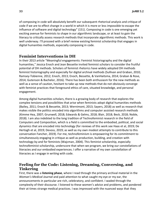of composing in code will absolutely benefit our subsequent rhetorical analysis and critique of code if we are to effect change in a world in which it is more or less impossible to escape the influence of software and digital technology" (151). Composing in code is one emerging yet exciting avenue for feminists to shape in our algorithmic landscape, or at least to gain the literacy to critically assess research methods that incorporate algorithmic methods. This work is well underway. I'll proceed with a brief review existing feminist scholarship that engages in digital humanities methods, especially composing in code.

#### **Feminist Interventions in DH**

In their 2013 article "Meaningful engagements: Feminist historiography and the digital humanities," Jessica Enoch and Jean Bessette invited feminist scholars to consider the fruitful potential of DH methods. Scholars of feminist rhetorics have widely adopted DH methods feminist historiography and especially for digital archival methods (Sullivan and Graban, 2010; Ramsey-Tobienne, 2012; Enoch, 2013; Enoch, Bessette, & VanHaitsma, 2014; Graban & Rose, 2014; Gutenson & Bachelor, 2016). There has been both enthusiasm for the new methods as well as a sense of caution, hesitant to take up new methods that do not obviously converge with feminist practices that foreground ethics of care, situated knowledge, and personal engagement.

Among digital humanities scholars, there is a growing body of research that explores the complex tensions and possibilities that arise when feminists adopt digital humanities methods (Bailey, 2011; Enoch & Bessette, 2013; Wernimont, 2013; Sayers, 2018) as well as research that makes visible the politics encoded into algorithms and computer assisted research methods (Kimme Hea, 2007; Grunwell, 2018; Edwards & Gelms, 2018; Blair, 2018; Beck, 2018; Noble, 2018). I am also indebted to the long tradition of Technofeminist research in the field of Computers and Composition, which is a field is committed to the embodied, political, and social dynamics that are encoded into technology (for reviews of this work see Haas et al, 2019; De Hertogh et al, 2019; Devoss, 2019; as well as my own modest attempts to contribute to this conversation Fancher, 2019). For me, technofeminism is empowering for its commitment to simultaneously engaging in critique as well as production, building, and creation with technology by and for feminists (Wajcman, 2004). This feminist scholarship, especially technofeminist scholarship, underscore that when we program, we bring our constellations of literacies and our embodied experiences. I offer a narrative of my own constellation of literacies as I engage in writing with code.

## **Feeling for the Code: Listening, Dreaming, Conversing, and Tinkering**

First, there was a **listening phase**, where I read through the primary archival material in the *Woman's Medical Journal* and paid attention to what caught my eye or my ear, the announcements in particular are rich, celebratory, and confident. I waded through the complexity of their discourse. I listened to these women's advice and problems, and pondered their at times strange medical practices. I was impressed with the nuanced ways that they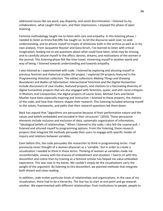addressed issues like sex work, pay disparity, and sexist discrimination. I listened to my collaborators, what caught their ears, and their impressions. I enjoyed this phase of open listening.

Feminist methodology taught me to listen with care and empathy. In this listening phase, I needed to listen as Krista Ratcliffe has taught us: to let the discourse wash over, to seek understanding, and to attune myself to tropes of whiteness both in the archive as well as in my own analysis. From Jacqueline Royster and Gesa Kirsch, I've learned to listen with critical imagination, leading me to ask questions about what could have been, what may be missing, and to carefully attune myself to the affect, desires, dreams, and motivations of the women in the journal. This listening phase felt like time travel, immersing myself in another world and way of being. I listened towards understanding and towards empathy.

I also listened as I experimented with code. I listened by exploring and attuning myself to previous feminist and rhetorical studies DH project. I explored DH projects featured in the *Programming Historian* collection. The edited collections *Making Things and Drawing Boundaries* and *Bodies of Information: Intersectional Feminism and the Digital Humanities* include discussions of case studies, featured projects, and citations to a fascinating diversity of digital humanities projects that are also engaged with feminists, queer, and anti-racist critiques. In Rhetoric and Composition, the digital projects of Laurie Gries, Michael Faris and Derek Mueller have been especially inspiring and instructive. I listened to these projects, the rhetoric of the code, and how that rhetoric shapes their research. This listening included attuning myself to the values, frameworks, and paths that their research questions led them down.

Beck has argued that "algorithms are persuasive because of their performative nature and the values and beliefs embedded and encoded in their structures" (2016). These persuasive elements include inclusion and exclusion of data, systematic organization of information, "ideological beliefs of relationships." When I listened to the code, I also felt the suasive pull. I listened and attuned myself to programming options. From this listening, these research projects that integrate DH methods persuade their users to engage with specific modes of inquiry and relations between variables.

Even before this, the code persuades the researcher to think in programming terms. I had previously never thought of a woman physician as a 'variable,' but in order to create a visualization I needed to think in those terms. Thinking of women as variables made me uncomfortable, uneasy with the erasure of embodiment and situation. I had to sit with this discomfort and notice that my training as a feminist scholar has helped me value embodied experience. This was now in my bones. We couldn't simply let the visualizations carry the weight of the argument. By listening to this discomfort, we planned methods that integrate both distant and close reading.

In addition, code invites particular kinds of relationships and organizations. In the case of my visualization, there had to be a hierarchy. The line has to start at one point and go towards another. We experimented with different relationships: from institutions to people, people to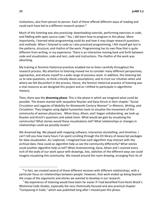institutions, also from person to person. Each of these offered different ways of reading and could each have led to a different research project.<sup>6</sup>

Much of this listening was also practicing: downloading tutorials, performing exercises in code, and fiddling with open source code.<sup>7</sup> Yes, I did learn how to program in this phase. More importantly, I learned what programming could do and how it may shape research questions and methods. When I listened to code as I also practiced programming, I felt myself get lost in the patterns, structure, and rhythm of the work. Programming has its own flow that is quite different from writing, in my experience. There is an interactive moving back and forth between code and visualization, code and test, code and instructions. The rhythm of the work was absorbing.

My training in feminist rhetorical practices enabled me to listen carefully throughout the research process. My attention to listening moved me to consider many different perspectives, approaches, and attune myself to a wide range of previous work. In addition, this listening led us to new questions, to think critically about assumptions, and to trust our intuition when and where we felt discomfort in the process. Hence, the feminst rhetorical practice of listening was a vital resource as we designed this project and as I shifted to participate in algorithmic rhetoric.

Then, there was the **dreaming phase**: This is the phase in which we imagined what could be possible. The dream started with Jacqueline Royster and Gesa Kirsch in their chapter "Social Circulation and Legacies of Mobility for Nineteenth Century Women" in *Rhetoric, Writing, and Circulation*. They imagine using digital humanities tools to visualize the movement of this community of women physicians. When Gesa, Alison, and I began collaborating, we took up Royster and Kirsch's questions and asked more. What would we gain by visualizing the community? What stories would these visualizations tell? What relationships or changes in relationships could we possibly locate?

We dreamed big. We played with mapping software, interactive storytelling, and timelines. I can't tell you how many hours I've spent scrolling through the D3 library of Javascript packages for data visualization. As I explored, I imagined how each algorithm may interact with the archival data. How could an algorithm help us see the community differently? What stories could another algorithm help us tell? When brainstorming, Gesa, Alison and I covered every inch of the walls of our work space with drawings, lists, sketches of the different ways we could imagine visualizing this community. We moved around the room drawing, arranging Post-Its of

 $<sup>6</sup>$  In fact, we created several of those different versions with different relationships, with a</sup> particular focus on relationships between people. However, that work ended up being beyond the scope of the arguments and stories we wanted to develop in our research.

 $<sup>7</sup>$  My experience of listening would have been far easier if I had benefited from Kevin Brock's</sup> *Rhetorical Code Studies*, especially the very rhetorically focused and also practical chapter "Composing in Code," which was published long after I moved past this phase.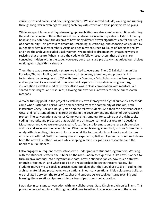various sizes and colors, and discussing our plans. We also moved outside, walking and running through long, warm evenings returning each day with coffee and fresh perspective on plans.

While we spent hours and days dreaming up possibilities, we also spent as much time whittling these dreams down to those that would best address our research questions. I still hold in my head and my notebooks the dreams of how many different ways algorithms can tell the stories of a community. This process of dreaming, imagining, questioning, and choosing was guided by our goals as feminist researchers. Again and again, we returned to issues of intersectionality and how the archive excluded Black Women. We needed to dream anew, imagining ways of resisting that erasure. When I share the code with fellow researchers, these dreams are concealed, hidden within the code. However, our dreams are precisely what guided our choices working with algorithmic rhetoric.

Then, there was a **conversation phase**: we talked to everyone. The UCSB digital humanities librarian, Thomas Padilla, pointed me towards resources, examples, and programs. I'm fortunate to be colleagues at UCSB with Jeremy Douglas, a DH scholar who has been generous and supportive. Gesa consulted friends and colleagues with expertise in programming, visualization as well as medical history. Alison was in close conversation with mentors. We shared their insights and resources, allowing our own social network to shape our research methods.

A major turning point in the project as well as my own literacy with digital humanities methods came when I attended Kairos Camp and benefited from the community of scholars, both instructors Cheryl Ball and Doug Eyman and the fellow students. And then the next year, Alison, Gesa, and I all attended, making great strides in the development and design of our research project. The conversations at Kairos Camp were instrumental for sussing out the right tools, coding methods, and processes that would help us answer some of our research questions. Most importantly, we were encouraged to focus first and foremost on the research question and our audience, not the research tool. Often, when learning a new tool, such as DH methods or algorithmic writing, it is easy to focus on what the tool can do, how it works, and the new affordances offered. With their many years of experience, Ball and Eyman mentored us to learn both the new DH methods as well while keeping in mind my goals as a researcher and the needs of our audiences.

I also engaged in frequent conversations with undergraduate student programmers. Working with the students is where the rubber hit the road. I addressed questions like how I planned to turn archival material into programmable data, how I defined variables, how much data was enough or too much, and what could be the relationships between those variables. The students moved me to speak in precise, concrete plans that they could use to aid in coding the archival material and prototyping visualizations. In our conversations, I felt a closeness build, as we oscillated between the roles of teacher and student. As we took our turns teaching and learning, these relationships grew into partnerships through collaboration.

I was also in constant conversation with my collaborators, Gesa Kirsch and Alison Williams. This project emerged within and through our dialogue together. In conversation with them, we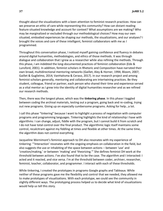thought about the visualizations with a keen attention to feminist research practices: How can we preserve an ethic of care while representing this community? How can distant reading feature situated knowledge and account for context? What assumptions are we making? Who may be marginalized or excluded through our methodological choices? How may our own situated, embodied experiences be shaping our methods, the visualizations, and our analyses? I brought the voices and care of these intelligent, feminist collaborators with me as I programmed.

Throughout this conversation phase, I noticed myself gaining confidence and fluency in debates around digital humanities, methodologies, and ethics of those methods. It was through dialogue and collaboration that I grew as a researcher while also refining the methods. Through this phase, I am indebted the long-documented practices of feminist collaboration (Ede & Lunsford, 2001). In addition, feminist scholars in Rhetoric and Composition have narrated their own broad, multidirectional mentoring networks (Gaillet, Aley & Horner, 1994; Bloom, 2007; Gaillet & Guglielmo, 2014; VanHaitsma & Ceraso, 2017). In our research project and among feminist scholars generally, mentoring and collaborating are intertwining practices. Be they student, colleague, friend or partner, each person who shared their time and experience served as a vital mentor as I grew into the identity of digital humanities researcher and as we refined our research methods.

Then, there was the longest phase, which was the **tinkering phase**. In this phase I toggled between coding the archival materials, testing out a program, going back and re-coding, trying out new programs. Giving up on especially cumbersome programs. Asking for help...a lot.

I call this phase "tinkering" because I want to highlight a process of negotiation with computer programs and programming languages. Tinkering highlights the kind of relationship I have with algorithms: I can change, adjust, fiddle with the program, but I cannot build it from scratch and I do not have total control over the final product. The algorithmic logic itself maintains some control, recalcitrant against my fiddling at times and flexible at other times. At the same time, the algorithm does not control everything.

Jacqueline Wernimont's feminist approach to DH also resonates with my experience of tinkering: "'Interaction' resonates with the ongoing emphasis on collaboration in the field, but also suggests the use or inhabiting of the space between actions – between 'use' and 'creation/making,' or between 'making' and 'theorizing.'" She defines feminist DH work at the threshold between actions. I've also found that to be the case. The algorithm and I interacted: I acted and it reacted, and vice versa. I'm at the threshold between coder, archiver, researcher, feminist, teacher, collaborator, and programmer. I interact with each of these thresholds.

While tinkering, I created the prototypes in programs Google graphs and Tableaux. While neither of these programs gave me the flexibility and control that we needed, they allowed me to make prototypes of visualizations. With each prototype, we could see the community in slightly different ways. The prototyping process helped us to decide what kind of visualizations would help us tell this story.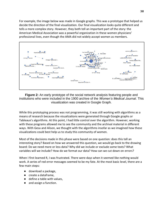For example, the image below was made in Google graphs. This was a prototype that helped us decide the direction of the final visualization. Our final visualization looks quite different and tells a more complex story. However, they both tell an important part of the story: the American Medical Association was a powerful organization in these women physicians' professional lives, even though the AMA did not widely accept women as members.



**Figure 2:** An early prototype of the social network analysis featuring people and institutions who were included in the 1900 archive of the *Women's Medical Journal*. This visualization was created in Google Graph.

While this prototyping process was not programming, it was still working with algorithms as a means of research because the visualizations were generated through Google graphs or Tableaux's algorithms. At this point, I had little control over the algorithm. However, working with these programs allowed me to see the community and the archival material in different ways. With Gesa and Alison, we thought with the algorithms insofar as we imagined how these visualizations could best help us to study this community of women.

Most of the decisions made in this phase were based on one question: does this tell an interesting story? Based on how we answered this question, we would go back to the drawing board: Do we need more or less data? Why did we include or exclude some texts? What variables will we include? How do we format our data? How can we cut down on errors?

When I first learned R, I was frustrated. There were days when it seemed like nothing would work. A series of red error messages seemed to be my fate. At the most basic level, there are a few main steps:

- download a package,
- create a dataframe,
- define a table with values,
- and assign a function.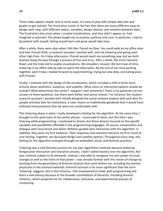Those steps appear simple. And in some ways, it is easy to play with simple data sets and graphs to get started. The frustration comes in the fact that there are many different ways to design each step, with different values, variables, design choices, and relations between data. The frustration also arose when I created visualizations, and they didn't appear as I had imagined or planned. This phase taught me to practice patience and care. In particular, I had to be patient with myself, letting myself learn and grow would take time.

After a while, there were days when I felt like I found my flow. You could walk by my office door and hear Pranati Shah, a research assistant I worked with, and me cheering and giving each other high fives. On Friday afternoons, Pranati would teach me something new, but we both learned along the way through a process of trial and error. After a while, the errors became fewer and the trials led to usable visualizations. My shoulders relaxed. We lost track of time, tinkering in my office side by side on warm fall afternoons. By the end of our time working together, each Friday I looked forward to experimenting, trying out new data, and eating pizza with Pranati.

Finally, I tinkered with the design of the visualization, which included a shift to think more actively about aesthetics, audience, and usability. What colors or interactive options should we include? What determines the center? margins? size? proximity? There is no particular correct answer to these questions, but there were better and worse choices. For instance, the student research assistant I worked with initially designed the social network analysis with pink dots for people and blue dots for institutions, a color choice so traditionally gendered that it would have inflected interpretations that we were not comfortable with.

This tinkering phase is when I really developed a feeling for the algorithm. At the same time, I brought to this work each of the earlier phases. I continued to listen, but this time I was listening while programming. I continued to dream, but these dreams focused on the specific variables and possibilities afforded in the programming languages. Of course, conversation and dialogue with Gesa Kirsch and Alison Williams guided each interaction with the algorithm. In addition, they were my first audience. Their responses and reactions became my first round of user testing. Together, we discussed design and usability options. Throughout every step, this feeling for the algorithm emerged through my embodied, social, and feminist practices.

Tinkering was a vital feminist practice for my own algorithmic methods because tinkering foregrounds interaction and interative process. I didn't wield mastery over the algorithm. Nor was I entirely subject to its demands. Instead, I was able to recognize my own power to enact changes as well as the limits of that power. I was already familiar with this notion of change by learning from the generations of feminist activists that came before me, including the women physicians in the archival materials. Feminist activism is far more significant than the term 'tinkering' suggests. But in this instance, I felt empowered to tinker with programming and learn a new literacy because of the broader constellation of literacies, including feminist rhetorics, which prepared me for collaborative, interative, and experimental process of composing.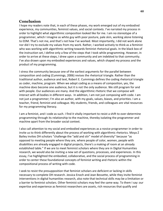#### **Conclusion**

I hope my readers note that, in each of these phases, my work emerged out of my embodied experience, my communities, feminist values, and social contexts. I've narrated my process in order to highlight what algorithmic composition looked like for me. I am no stereotype of a programmer, which I imagine as white guy with poor posture, pale skin, working alone listening to EDM. That's not me, and that's not how I've worked. Most importantly, I did not work alone nor did I try to exclude my values from my work. Rather, I worked actively to think as a feminist who was working with algorithmic writing towards feminist rhetorical goals. In the black box of the instruction set, I define only a few of the steps that I took while programming. However, in order to arrive at these steps, I drew upon a community and am indebted to that community. I've also drawn upon my embodied experiences and values, which shaped my process and the product of my programming.

I stress the community because one of the earliest arguments for the parallel between composition and coding (Cummings, 2006) revises the rhetorical triangle. Rather than the traditional author, audience and text, Robert E. Cummings defines the coding rhetorical triangle as coder, machine, program. When we adopt coding as a means of composition, yes, the machine does become one audience, but it is not the only audience. We still program for and with people. Our audiences are many. And the algorithmic rhetoric that we compose will interact with all bodies in different ways. In addition, I am not just composing with code. I am not just a programmer; I'm also an author, with my goals, values, biases, and priorities. I am a teacher, friend, feminist and colleague. My students, friends, and colleagues are vital resources for my programming literacy.

I am a feminist, and I code as such. I find it vitally important to resist a shift to over-determine programming through its relationship to the machine, thereby isolating the programmer and machine apart from the broader social context.

I also call attention to my social and embodied experiences as a novice programmer in order to invite us to think differently about the process of working with algorithmic rhetorics. Moya Z Bailey invites DH scholars "challenge the "add and stir" model of diversity" because "as opposed to meeting people where they are, where people of color, women, people with disabilities are already engaged in digital projects, there's a making of room at an already established table." If we are to meet feminist scholars where they are in Digital Humanities research, we would also be inviting a new set of questions, processes, and experiences. In this essay, I've highlighted the embodied, collaborative, and the social process of programming in order to center these foundational concepts of feminist writing and rhetoric within the compositional process of writing with code.

I seek to resist the presupposition that feminist scholars are deficient or lacking in skills necessary to complete DH research. Jessica Enoch and Jean Bessette, while they invite feminist interventions in digital humanities research, also note that technical skills may be a limitation or a barrier to feminist scholars. Other feminist scholars may feel the same way. To them I say: our expertise and experience as feminist researchers are assets, rich resources that qualify and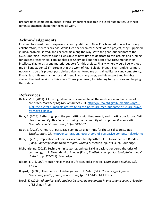prepare us to complete nuanced, ethical, important research in digital humanities. Let these feminist practices shape the technical work.

#### **Acknowledgements**

First and foremost, I must express my deep gratitude to Gesa Kirsch and Allison Williams, my collaborators, mentors, friends. While I led the technical aspects of this project, they supported, guided, problem-solved, and cheered me along the way. With the generous support of the CCCC Emerging Research Grant, I was able to have time to dedicate to this project and funding for student researchers. I am indebted to Cheryl Ball and the staff of KairosCamp for their intellectual generosity and material support for this project. Finally, where would I be without my brilliant students? I'm certain that the work of Raul Eulogio, Pranati Shah, and Ari Gilmore not only made this project possible but also mentored me as I gained literacy and competency. Finally, Jason Helms is a mentor and friend in so many ways, and his support and insights shaped the final version of this essay. Thank you, Jason, for listening to my stories and helping them shine.

#### **References**

- Bailey, M. Z. (2011). All the digital humanists are white, all the nerds are men, but some of us are brave. *Journal of Digital Humanities 1*(1). [http://journalofdigitalhumanities.org/1-](http://journalofdigitalhumanities.org/1-1/all-the-digital-humanists-are-white-all-the-nerds-are-men-but-some-of-us-are-brave-by-moya-z-bailey/) [1/all-the-digital-humanists-are-white-all-the-nerds-are-men-but-some-of-us-are-brave](http://journalofdigitalhumanities.org/1-1/all-the-digital-humanists-are-white-all-the-nerds-are-men-but-some-of-us-are-brave-by-moya-z-bailey/)[by-moya-z-bailey/](http://journalofdigitalhumanities.org/1-1/all-the-digital-humanists-are-white-all-the-nerds-are-men-but-some-of-us-are-brave-by-moya-z-bailey/)
- Beck, E. (2013). Reflecting upon the past, sitting with the present, and charting our future: Gail Hawisher and Cynthia Selfe discussing the community of computers & composition. *Computers and Composition*, *30*(4), 349-357.
- Beck, E. (2016). A theory of persuasive computer algorithms for rhetorical code studies. *Enculturation*, *23*.<http://enculturation.net/a-theory-of-persuasive-computer-algorithms>
- Beck, E. (2018). Implications of persuasive computer algorithms. In J. Alexander & J. Rhodes (Eds.), *Routledge companion to digital writing & rhetoric* (pp. 291-302). Routledge.
- Blair, Kristine. (2018). Technofeminist storiographies: Talking back to gendered rhetorics of technology. In J. Alexander & J. Rhodes (Eds.), *Routledge companion to digital writing & rhetoric* (pp. 224-241). Routledge.
- Bloom, L. Z. (2007). Mentoring as mosaic: Life as guerilla theater. *Composition Studies*, *35*(2), 87-99.
- Bogost, I. (2008). The rhetoric of video games. In K. Salen (Ed.), *The ecology of games: Connecting youth, games, and learning* (pp. 117-140). MIT Press.
- Brock, K. (2019). *Rhetorical code studies: Discovering arguments in and around code*. University of Michigan Press.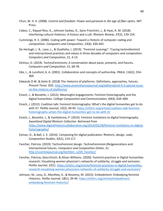- Chun, W. H. K. (2008). *Control and freedom: Power and paranoia in the age of fiber optics*. MIT Press.
- Cobos, C., Raquel Ríos, G., Johnson Sackey, D., Sano-Franchini, J., & Haas, A. M. (2018). Interfacing cultural rhetorics: A history and a call. *Rhetoric Review*, *37*(2), 139-154.
- Cummings, R. E. (2006). Coding with power: Toward a rhetoric of computer coding and composition. *Computers and Composition*, *23*(4), 430-443.
- De Hertogh, L. B., Lane, L., & Ouellette, J. (2019). "Feminist Leanings": Tracing technofeminist and intersectional practices and values in three decades of computers and composition. *Computers and Composition*, *51*, 4-13.
- DeVoss, D. (2019). TechnoFeminisms: A conversation about pasts, presents, and futures. *Computers and Composition*, *51*, 68-78.
- Ede, L., & Lunsford, A. A. (2001). Collaboration and concepts of authorship. *PMLA*, *116*(2), 354- 369.
- Edwards D.W. & Gelm B. (2018) The rhetorics of platforms: Definitions, approaches, futures. *Present Tense*. *6*(3). [http://www.presenttensejournal.org/editorial/vol-6-3-special-issue](http://www.presenttensejournal.org/editorial/vol-6-3-special-issue-on-the-rhetoric-of-platforms/)[on-the-rhetoric-of-platforms/](http://www.presenttensejournal.org/editorial/vol-6-3-special-issue-on-the-rhetoric-of-platforms/)
- Enoch, J., & Bessette, J. (2013). Meaningful engagements: Feminist historiography and the digital humanities. *College Composition and Communication*, *64*(4), 634–660.
- Enoch, J. (2013). Coalition talk: Feminist historiography: What's the digital humanities got to do with it?. *Peitho Journal*, *15*(2), 40-45. [https://cfshrc.org/article/coalition-talk-feminist](https://cfshrc.org/article/coalition-talk-feminist-historiography-whats-the-digital-humanities-got-to-do-with-it/)[historiography-whats-the-digital-humanities-got-to-do-with-it/](https://cfshrc.org/article/coalition-talk-feminist-historiography-whats-the-digital-humanities-got-to-do-with-it/)
- Enoch, J., Bessette, J., & VanHaitsma, P. (2014). Feminist invitations to digital historiography. *Sweetland Digital Rhetoric Collective.* Retrieved from [https://www.digitalrhetoriccollaborative.org/2014/03/28/feminist-invitations-to-digital](https://www.digitalrhetoriccollaborative.org/2014/03/28/feminist-invitations-to-digital-historiography/)[historiography/](https://www.digitalrhetoriccollaborative.org/2014/03/28/feminist-invitations-to-digital-historiography/)
- Eyman, D., & Ball, C. E. (2014). Composing for digital publication: Rhetoric, design, code. *Composition Studies*, *42*(1), 114-117.
- Fancher, Patricia. (2019). TechnoFeminist design. TechnoFeminism:(Re)generations and intersectional futures. *Computers and Composition Online*, *51*. [http://cconlinejournal.org/techfem\\_si/04\\_Fancher/](http://cconlinejournal.org/techfem_si/04_Fancher/)
- Fancher, Patricia, Gesa Kirsch, & Alison Williams. (2020). Feminist practices in Digital humanities research: Visualizing women physician's networks of solidarity, struggle and exclusion. *Peitho Journal*, *22*(1). [https://cfshrc.org/article/feminist-practices-in-digital-humanities](https://cfshrc.org/article/feminist-practices-in-digital-humanities-research-visualizing-women-physicians-networks-of-solidarity-struggle-and-exclusion/)[research-visualizing-women-physicians-networks-of-solidarity-struggle-and-exclusion/](https://cfshrc.org/article/feminist-practices-in-digital-humanities-research-visualizing-women-physicians-networks-of-solidarity-struggle-and-exclusion/)
- Johnson, M., Levy, D., Manthey, K., & Novotny, M. (2015). Embodiment: Embodying feminist rhetorics. *Peitho Journal*, *18*(1), 39-44. [https://cfshrc.org/article/embodiment](https://cfshrc.org/article/embodiment-embodying-feminist-rhetorics/)[embodying-feminist-rhetorics/](https://cfshrc.org/article/embodiment-embodying-feminist-rhetorics/)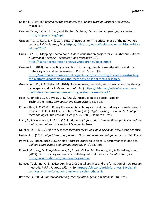- Keller, E.F. (1984) *A feeling for the organism: the life and work of Barbara McClintock*. Macmillan.
- Graban, Tarez, Richard Urban, and Stephen McLeroy. *Linked women pedagogues project*. <http://lwpproject.org/wp/>
- Graban, T. S., & Rose, S. K. (2014). Editors' introduction: The critical place of the networked archive. *Peitho Journal*, *2*(1). [https://cfshrc.org/journal/peitho-volume-17-issue-1-fall](https://cfshrc.org/journal/peitho-volume-17-issue-1-fall-winter-2014/)[winter-2014/](https://cfshrc.org/journal/peitho-volume-17-issue-1-fall-winter-2014/)
- Gries, L. (2017). Mapping Obama hope: A data visualization project for visual rhetorics. *Kairos: A Journal of Rhetoric, Technology, and Pedagogy 21*(2). [https://kairos.technorhetoric.net/21.2/topoi/gries/index.html#](https://kairos.technorhetoric.net/21.2/topoi/gries/index.html)
- Grunwell L. (2018). Constructing research, constructing the platform: Algorithms and the rhetoricity of social media research. *Present Tense. 6*(3). [https://www.presenttensejournal.org/volume-6/constructing-research-constructing](https://www.presenttensejournal.org/volume-6/constructing-research-constructing-the-platform-algorithms-and-the-rhetoricity-of-social-media-research/)[the-platform-algorithms-and-the-rhetoricity-of-social-media-research/](https://www.presenttensejournal.org/volume-6/constructing-research-constructing-the-platform-algorithms-and-the-rhetoricity-of-social-media-research/)
- Gutenson, L. D., & Bachelor, M. (2016). Race, women, methods, and access: A journey through cyberspace and back. *Peitho Journal*, *19*(1). [https://cfshrc.org/article/race-women](https://cfshrc.org/article/race-women-methods-and-access-a-journey-through-cyberspace-and-back/)[methods-and-access-a-journey-through-cyberspace-and-back/](https://cfshrc.org/article/race-women-methods-and-access-a-journey-through-cyberspace-and-back/)
- Haas, A., Rhodes, J., & DeVoss, D. N. (2019). Introduction to a special issue on TechnoFeminisms. *Computers and Composition*, *51*, 4-13.
- Kimme Hea, A. C. (2007). Riding the wave: Articulating a critical methodology for web research practices. In H. A. McKee & D. N. DeVoss (Eds.), *Digital writing research: Technologies, methodologies, and ethical issues* (pp. 269-286). Hampton Press.
- Losh, E., & Wernimont, J. (Eds.). (2019). *Bodies of Information: Intersectional feminism and the digital humanities.* University of Minnesota Press.
- Mueller, D. N. (2017). *Network sense: Methods for visualizing a discipline*. WAC Clearinghouse.
- Noble, S. U. (2018). *Algorithms of oppression: How search engines reinforce racism*. NYU Press.
- Powell, M. (2012). 2012 CCCC Chair's Address: Stories take place: A performance in one act. *College Composition and Communication*, 64(2), 383-406.
- Powell, M., Levy, D., Riley-Mukavetz, A., Brooks-Gillies, M., Novotny, M., & Fisch-Ferguson, J. (2014). Our story begins here: Constellating cultural rhetorics. *Enculturation*, *25*. <http://enculturation.net/our-story-begins-here>
- Ramsey-Tobienne, A. E. (2012). Archives 2.0: Digital archives and the formation of new research methods. *Peitho Journal*, *15*(1), 4-29. [https://cfshrc.org/article/archives-2-0-digital](https://cfshrc.org/article/archives-2-0-digital-archives-and-the-formation-of-new-research-methods-2/)[archives-and-the-formation-of-new-research-methods-2/](https://cfshrc.org/article/archives-2-0-digital-archives-and-the-formation-of-new-research-methods-2/)
- Ratcliffe, K. (2005). *Rhetorical listening: Identification, gender, whiteness.* SIU Press.